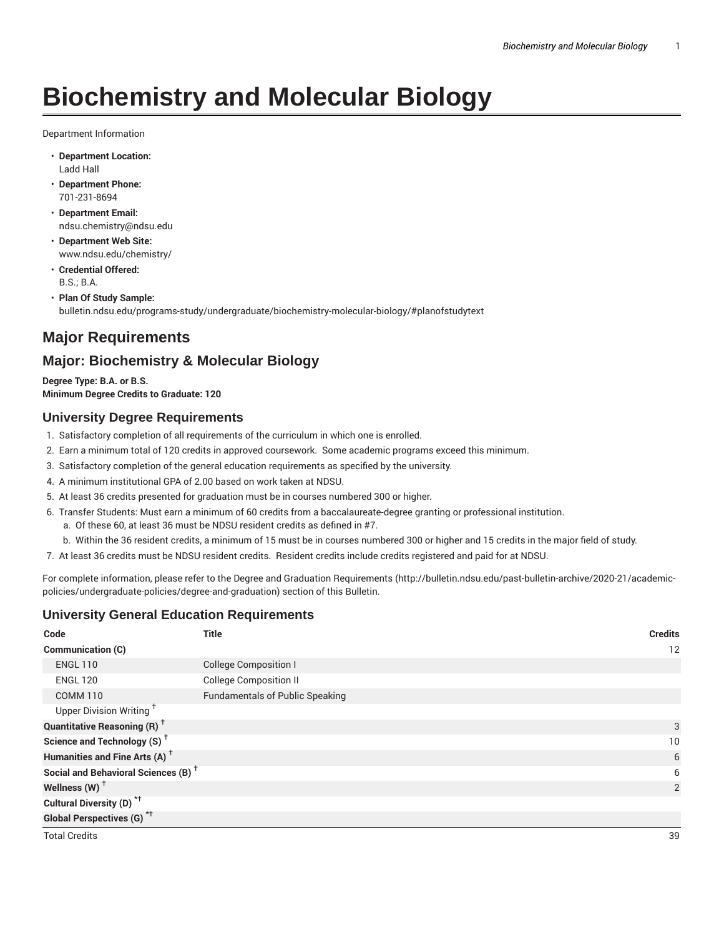# **Biochemistry and Molecular Biology**

Department Information

- **Department Location:** Ladd Hall
- **Department Phone:** 701-231-8694
- **Department Email:** ndsu.chemistry@ndsu.edu
- **Department Web Site:** www.ndsu.edu/chemistry/
- **Credential Offered:** B.S.; B.A.
- **Plan Of Study Sample:** bulletin.ndsu.edu/programs-study/undergraduate/biochemistry-molecular-biology/#planofstudytext

# **Major Requirements**

# **Major: Biochemistry & Molecular Biology**

**Degree Type: B.A. or B.S. Minimum Degree Credits to Graduate: 120**

# **University Degree Requirements**

- 1. Satisfactory completion of all requirements of the curriculum in which one is enrolled.
- 2. Earn a minimum total of 120 credits in approved coursework. Some academic programs exceed this minimum.
- 3. Satisfactory completion of the general education requirements as specified by the university.
- 4. A minimum institutional GPA of 2.00 based on work taken at NDSU.
- 5. At least 36 credits presented for graduation must be in courses numbered 300 or higher.
- 6. Transfer Students: Must earn a minimum of 60 credits from a baccalaureate-degree granting or professional institution.
	- a. Of these 60, at least 36 must be NDSU resident credits as defined in #7.
	- b. Within the 36 resident credits, a minimum of 15 must be in courses numbered 300 or higher and 15 credits in the major field of study.
- 7. At least 36 credits must be NDSU resident credits. Resident credits include credits registered and paid for at NDSU.

For complete information, please refer to the Degree and Graduation Requirements (http://bulletin.ndsu.edu/past-bulletin-archive/2020-21/academicpolicies/undergraduate-policies/degree-and-graduation) section of this Bulletin.

# **University General Education Requirements**

| Code                                            | <b>Title</b>                           | <b>Credits</b> |
|-------------------------------------------------|----------------------------------------|----------------|
| Communication (C)                               |                                        | 12             |
| <b>ENGL 110</b>                                 | <b>College Composition I</b>           |                |
| <b>ENGL 120</b>                                 | <b>College Composition II</b>          |                |
| <b>COMM 110</b>                                 | <b>Fundamentals of Public Speaking</b> |                |
| Upper Division Writing <sup>+</sup>             |                                        |                |
| <b>Quantitative Reasoning (R)</b> <sup>+</sup>  |                                        | 3              |
| Science and Technology (S) <sup>+</sup>         |                                        | 10             |
| Humanities and Fine Arts (A) <sup>+</sup>       |                                        | 6              |
| Social and Behavioral Sciences (B) <sup>+</sup> |                                        | 6              |
| Wellness $(W)$ <sup>+</sup>                     |                                        | $\overline{2}$ |
| Cultural Diversity (D) <sup>*†</sup>            |                                        |                |
| <b>Global Perspectives (G)</b> <sup>*†</sup>    |                                        |                |
| <b>Total Credits</b>                            |                                        | 39             |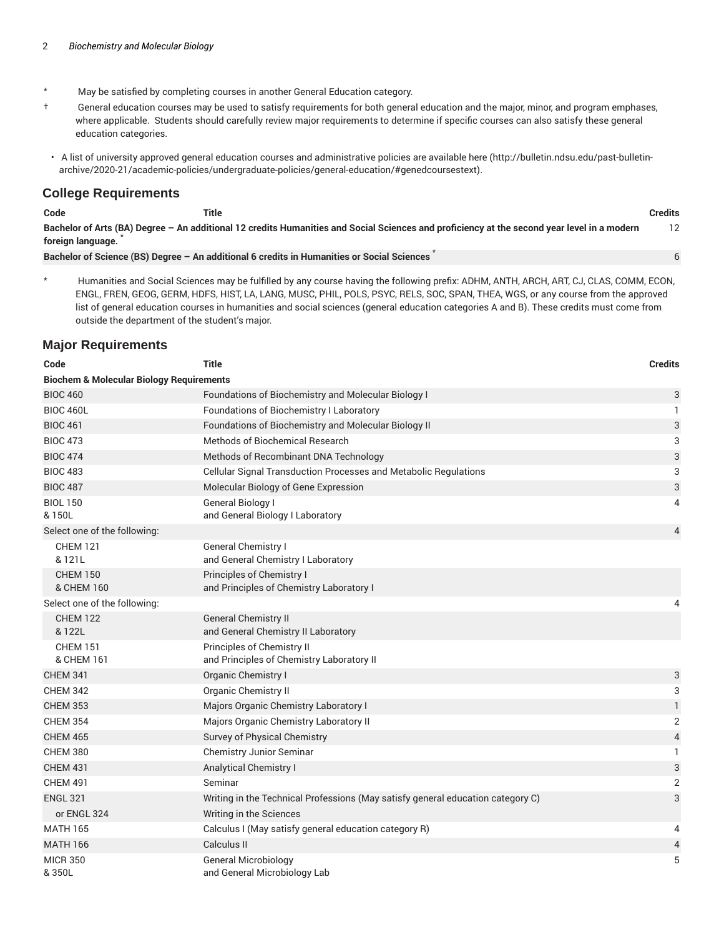- \* May be satisfied by completing courses in another General Education category.
- † General education courses may be used to satisfy requirements for both general education and the major, minor, and program emphases, where applicable. Students should carefully review major requirements to determine if specific courses can also satisfy these general education categories.
- A list of university approved general education courses and administrative policies are available here (http://bulletin.ndsu.edu/past-bulletinarchive/2020-21/academic-policies/undergraduate-policies/general-education/#genedcoursestext).

## **College Requirements**

| Code | Title<br>___ | .<br><b>Credits</b><br>. |
|------|--------------|--------------------------|
|------|--------------|--------------------------|

6

Bachelor of Arts (BA) Degree - An additional 12 credits Humanities and Social Sciences and proficiency at the second year level in a modern **foreign language.** \* 12

**Bachelor of Science (BS) Degree – An additional 6 credits in Humanities or Social Sciences** \*

\* Humanities and Social Sciences may be fulfilled by any course having the following prefix: ADHM, ANTH, ARCH, ART, CJ, CLAS, COMM, ECON, ENGL, FREN, GEOG, GERM, HDFS, HIST, LA, LANG, MUSC, PHIL, POLS, PSYC, RELS, SOC, SPAN, THEA, WGS, or any course from the approved list of general education courses in humanities and social sciences (general education categories A and B). These credits must come from outside the department of the student's major.

# **Major Requirements**

| Code                                                | <b>Title</b>                                                                    | <b>Credits</b>            |
|-----------------------------------------------------|---------------------------------------------------------------------------------|---------------------------|
| <b>Biochem &amp; Molecular Biology Requirements</b> |                                                                                 |                           |
| <b>BIOC 460</b>                                     | Foundations of Biochemistry and Molecular Biology I                             | 3                         |
| <b>BIOC 460L</b>                                    | Foundations of Biochemistry I Laboratory                                        | 1                         |
| <b>BIOC 461</b>                                     | Foundations of Biochemistry and Molecular Biology II                            | $\ensuremath{\mathsf{3}}$ |
| <b>BIOC 473</b>                                     | <b>Methods of Biochemical Research</b>                                          | 3                         |
| <b>BIOC 474</b>                                     | Methods of Recombinant DNA Technology                                           | 3                         |
| <b>BIOC 483</b>                                     | Cellular Signal Transduction Processes and Metabolic Regulations                | 3                         |
| <b>BIOC 487</b>                                     | Molecular Biology of Gene Expression                                            | 3                         |
| <b>BIOL 150</b><br>& 150L                           | General Biology I<br>and General Biology I Laboratory                           | 4                         |
| Select one of the following:                        |                                                                                 | 4                         |
| <b>CHEM 121</b><br>& 121L                           | General Chemistry I<br>and General Chemistry I Laboratory                       |                           |
| <b>CHEM 150</b><br>& CHEM 160                       | Principles of Chemistry I<br>and Principles of Chemistry Laboratory I           |                           |
| Select one of the following:                        |                                                                                 | 4                         |
| <b>CHEM 122</b><br>& 122L                           | <b>General Chemistry II</b><br>and General Chemistry II Laboratory              |                           |
| <b>CHEM 151</b><br>& CHEM 161                       | Principles of Chemistry II<br>and Principles of Chemistry Laboratory II         |                           |
| <b>CHEM 341</b>                                     | Organic Chemistry I                                                             | 3                         |
| <b>CHEM 342</b>                                     | Organic Chemistry II                                                            | 3                         |
| <b>CHEM 353</b>                                     | Majors Organic Chemistry Laboratory I                                           | $\mathbf{1}$              |
| <b>CHEM 354</b>                                     | Majors Organic Chemistry Laboratory II                                          | $\overline{2}$            |
| <b>CHEM 465</b>                                     | Survey of Physical Chemistry                                                    | $\overline{4}$            |
| <b>CHEM 380</b>                                     | Chemistry Junior Seminar                                                        | 1                         |
| <b>CHEM 431</b>                                     | <b>Analytical Chemistry I</b>                                                   | 3                         |
| <b>CHEM 491</b>                                     | Seminar                                                                         | $\overline{2}$            |
| <b>ENGL 321</b>                                     | Writing in the Technical Professions (May satisfy general education category C) | 3                         |
| or ENGL 324                                         | Writing in the Sciences                                                         |                           |
| <b>MATH 165</b>                                     | Calculus I (May satisfy general education category R)                           | 4                         |
| <b>MATH 166</b>                                     | Calculus II                                                                     | 4                         |
| <b>MICR 350</b><br>&350L                            | <b>General Microbiology</b><br>and General Microbiology Lab                     | 5                         |